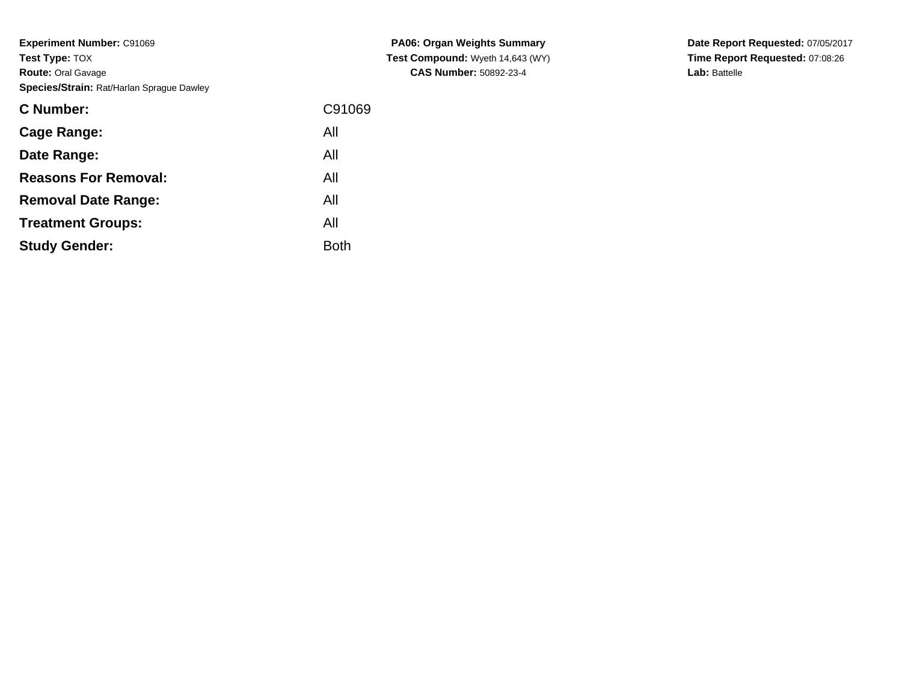**Experiment Number:** C91069**Test Type:** TOX **Route:** Oral Gavage**Species/Strain:** Rat/Harlan Sprague Dawley

| <b>C</b> Number:            | C91069      |
|-----------------------------|-------------|
| Cage Range:                 | All         |
| Date Range:                 | All         |
| <b>Reasons For Removal:</b> | All         |
| <b>Removal Date Range:</b>  | All         |
| <b>Treatment Groups:</b>    | All         |
| <b>Study Gender:</b>        | <b>Both</b> |
|                             |             |

**PA06: Organ Weights Summary Test Compound:** Wyeth 14,643 (WY)**CAS Number:** 50892-23-4

**Date Report Requested:** 07/05/2017 **Time Report Requested:** 07:08:26**Lab:** Battelle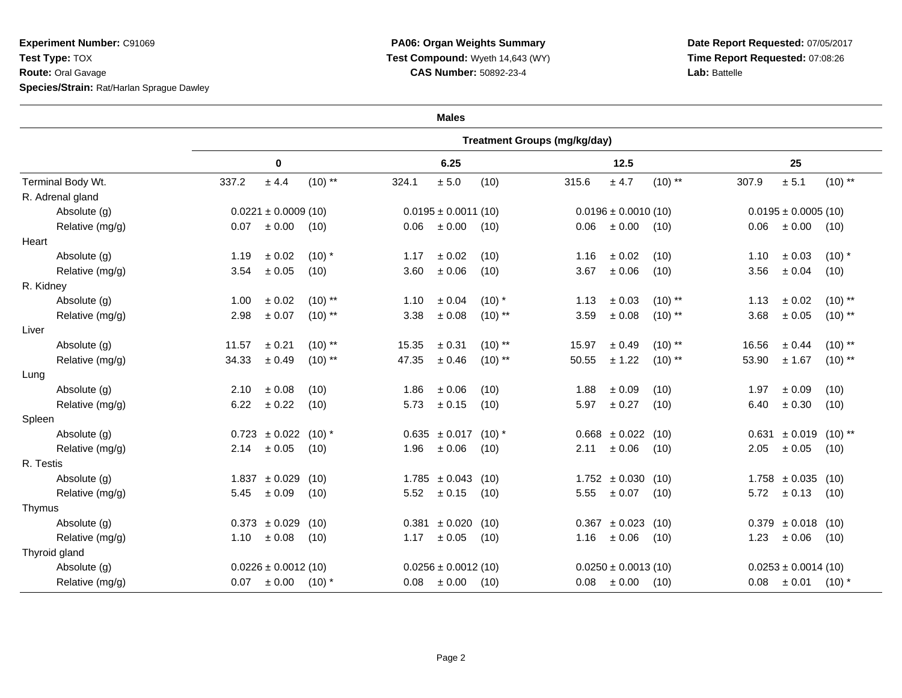**Experiment Number:** C91069**Test Type:** TOX **Route:** Oral Gavage**Species/Strain:** Rat/Harlan Sprague Dawley

## **PA06: Organ Weights Summary Test Compound:** Wyeth 14,643 (WY)**CAS Number:** 50892-23-4

**Date Report Requested:** 07/05/2017 **Time Report Requested:** 07:08:26**Lab:** Battelle

| <b>Males</b>      |                                     |                          |           |       |                          |           |       |                          |           |       |                                      |            |  |  |
|-------------------|-------------------------------------|--------------------------|-----------|-------|--------------------------|-----------|-------|--------------------------|-----------|-------|--------------------------------------|------------|--|--|
|                   | <b>Treatment Groups (mg/kg/day)</b> |                          |           |       |                          |           |       |                          |           |       |                                      |            |  |  |
| Terminal Body Wt. | 0                                   |                          |           | 6.25  |                          |           | 12.5  |                          |           | 25    |                                      |            |  |  |
|                   | 337.2                               | ± 4.4                    | $(10)$ ** | 324.1 | $\pm$ 5.0                | (10)      | 315.6 | ± 4.7                    | $(10)$ ** | 307.9 | ± 5.1                                | $(10)$ **  |  |  |
| R. Adrenal gland  |                                     |                          |           |       |                          |           |       |                          |           |       |                                      |            |  |  |
| Absolute (g)      |                                     | $0.0221 \pm 0.0009$ (10) |           |       | $0.0195 \pm 0.0011$ (10) |           |       | $0.0196 \pm 0.0010$ (10) |           |       | $0.0195 \pm 0.0005$ (10)             |            |  |  |
| Relative (mg/g)   | 0.07                                | $\pm$ 0.00               | (10)      | 0.06  | ± 0.00                   | (10)      | 0.06  | $\pm 0.00$               | (10)      | 0.06  | ± 0.00                               | (10)       |  |  |
| Heart             |                                     |                          |           |       |                          |           |       |                          |           |       |                                      |            |  |  |
| Absolute (g)      | 1.19                                | ± 0.02                   | $(10)$ *  | 1.17  | $\pm$ 0.02               | (10)      | 1.16  | ± 0.02                   | (10)      | 1.10  | $\pm$ 0.03                           | $(10)$ *   |  |  |
| Relative (mg/g)   | 3.54                                | $\pm$ 0.05               | (10)      | 3.60  | ± 0.06                   | (10)      | 3.67  | $\pm$ 0.06               | (10)      | 3.56  | ± 0.04                               | (10)       |  |  |
| R. Kidney         |                                     |                          |           |       |                          |           |       |                          |           |       |                                      |            |  |  |
| Absolute (g)      | 1.00                                | ± 0.02                   | $(10)$ ** | 1.10  | ± 0.04                   | $(10)$ *  | 1.13  | ± 0.03                   | $(10)$ ** | 1.13  | $\pm$ 0.02                           | $(10)$ **  |  |  |
| Relative (mg/g)   | 2.98                                | $\pm$ 0.07               | $(10)$ ** | 3.38  | $\pm$ 0.08               | $(10)$ ** | 3.59  | ± 0.08                   | $(10)$ ** | 3.68  | $\pm$ 0.05                           | $(10)$ **  |  |  |
| Liver             |                                     |                          |           |       |                          |           |       |                          |           |       |                                      |            |  |  |
| Absolute (g)      | 11.57                               | ± 0.21                   | $(10)$ ** | 15.35 | $\pm$ 0.31               | $(10)$ ** | 15.97 | ± 0.49                   | $(10)$ ** | 16.56 | ± 0.44                               | $(10)$ **  |  |  |
| Relative (mg/g)   | 34.33                               | ± 0.49                   | $(10)$ ** | 47.35 | ± 0.46                   | $(10)$ ** | 50.55 | ± 1.22                   | $(10)$ ** | 53.90 | ± 1.67                               | $(10)$ **  |  |  |
| Lung              |                                     |                          |           |       |                          |           |       |                          |           |       |                                      |            |  |  |
| Absolute (g)      | 2.10                                | ± 0.08                   | (10)      | 1.86  | $\pm$ 0.06               | (10)      | 1.88  | ± 0.09                   | (10)      | 1.97  | ± 0.09                               | (10)       |  |  |
| Relative (mg/g)   | 6.22                                | $\pm$ 0.22               | (10)      | 5.73  | $\pm$ 0.15               | (10)      | 5.97  | ± 0.27                   | (10)      | 6.40  | $\pm$ 0.30                           | (10)       |  |  |
| Spleen            |                                     |                          |           |       |                          |           |       |                          |           |       |                                      |            |  |  |
| Absolute (g)      |                                     | $0.723 \pm 0.022$        | $(10)*$   |       | $0.635 \pm 0.017$ (10) * |           |       | $0.668 \pm 0.022$        | (10)      |       | $0.631 \pm 0.019$ (10) <sup>**</sup> |            |  |  |
| Relative (mg/g)   | 2.14                                | $\pm$ 0.05               | (10)      | 1.96  | ± 0.06                   | (10)      | 2.11  | $\pm$ 0.06               | (10)      | 2.05  | $\pm$ 0.05                           | (10)       |  |  |
| R. Testis         |                                     |                          |           |       |                          |           |       |                          |           |       |                                      |            |  |  |
| Absolute (g)      |                                     | $1.837 \pm 0.029$        | (10)      |       | $1.785 \pm 0.043$ (10)   |           |       | $1.752 \pm 0.030$        | (10)      |       | $1.758 \pm 0.035$ (10)               |            |  |  |
| Relative (mg/g)   | 5.45                                | ± 0.09                   | (10)      | 5.52  | ± 0.15                   | (10)      | 5.55  | $\pm$ 0.07               | (10)      | 5.72  | ± 0.13                               | (10)       |  |  |
| Thymus            |                                     |                          |           |       |                          |           |       |                          |           |       |                                      |            |  |  |
| Absolute (g)      |                                     | $0.373 \pm 0.029$        | (10)      |       | $0.381 \pm 0.020$        | (10)      |       | $0.367 \pm 0.023$ (10)   |           |       | $0.379 \pm 0.018$ (10)               |            |  |  |
| Relative (mg/g)   | 1.10                                | $\pm$ 0.08               | (10)      | 1.17  | $\pm$ 0.05               | (10)      | 1.16  | ± 0.06                   | (10)      | 1.23  | ± 0.06                               | (10)       |  |  |
| Thyroid gland     |                                     |                          |           |       |                          |           |       |                          |           |       |                                      |            |  |  |
| Absolute (g)      | $0.0226 \pm 0.0012$ (10)            |                          |           |       | $0.0256 \pm 0.0012$ (10) |           |       | $0.0250 \pm 0.0013$ (10) |           |       | $0.0253 \pm 0.0014$ (10)             |            |  |  |
| Relative (mg/g)   | 0.07                                | ± 0.00                   | $(10)*$   | 0.08  | $\pm 0.00$               | (10)      | 0.08  | $\pm 0.00$               | (10)      | 0.08  | $\pm 0.01$                           | $(10)^{*}$ |  |  |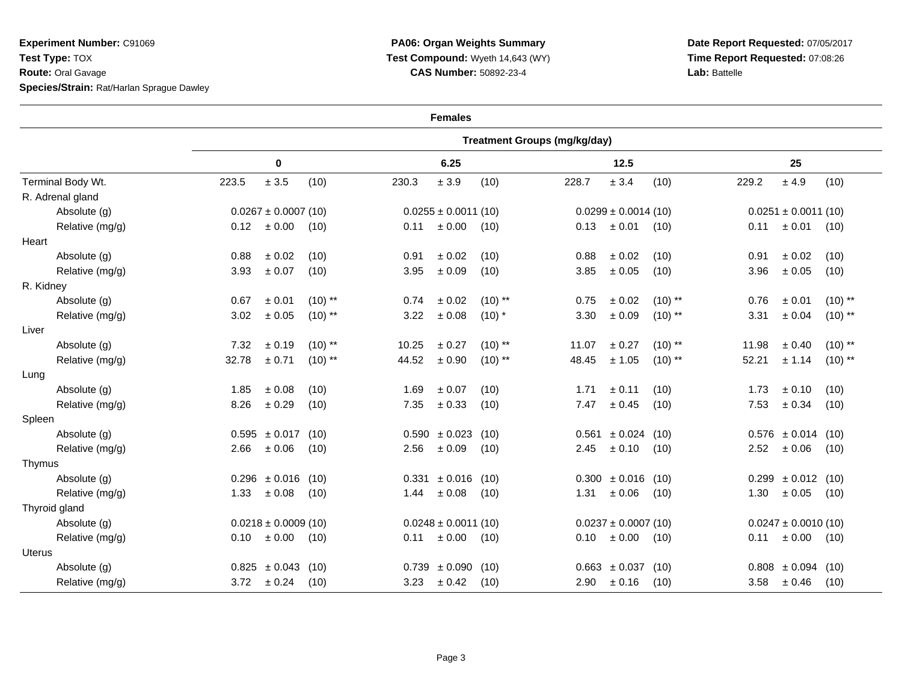**Experiment Number:** C91069**Test Type:** TOX **Route:** Oral Gavage**Species/Strain:** Rat/Harlan Sprague Dawley

## **PA06: Organ Weights Summary Test Compound:** Wyeth 14,643 (WY)**CAS Number:** 50892-23-4

**Date Report Requested:** 07/05/2017 **Time Report Requested:** 07:08:26**Lab:** Battelle

| <b>Females</b>    |                                     |                          |           |                          |                          |           |       |                          |           |                          |                          |           |  |
|-------------------|-------------------------------------|--------------------------|-----------|--------------------------|--------------------------|-----------|-------|--------------------------|-----------|--------------------------|--------------------------|-----------|--|
|                   | <b>Treatment Groups (mg/kg/day)</b> |                          |           |                          |                          |           |       |                          |           |                          |                          |           |  |
| Terminal Body Wt. | 0                                   |                          |           | 6.25                     |                          |           | 12.5  |                          |           | 25                       |                          |           |  |
|                   | 223.5                               | $\pm$ 3.5                | (10)      | 230.3                    | ± 3.9                    | (10)      | 228.7 | $\pm$ 3.4                | (10)      | 229.2                    | ± 4.9                    | (10)      |  |
| R. Adrenal gland  |                                     |                          |           |                          |                          |           |       |                          |           |                          |                          |           |  |
| Absolute (g)      | $0.0267 \pm 0.0007$ (10)            |                          |           | $0.0255 \pm 0.0011$ (10) |                          |           |       | $0.0299 \pm 0.0014(10)$  |           | $0.0251 \pm 0.0011$ (10) |                          |           |  |
| Relative (mg/g)   | 0.12                                | $\pm$ 0.00               | (10)      | 0.11                     | $\pm$ 0.00               | (10)      | 0.13  | ± 0.01                   | (10)      | 0.11                     | ± 0.01                   | (10)      |  |
| Heart             |                                     |                          |           |                          |                          |           |       |                          |           |                          |                          |           |  |
| Absolute (g)      | 0.88                                | ± 0.02                   | (10)      | 0.91                     | ± 0.02                   | (10)      | 0.88  | ± 0.02                   | (10)      | 0.91                     | ± 0.02                   | (10)      |  |
| Relative (mg/g)   | 3.93                                | $\pm$ 0.07               | (10)      | 3.95                     | ± 0.09                   | (10)      | 3.85  | $\pm$ 0.05               | (10)      | 3.96                     | ± 0.05                   | (10)      |  |
| R. Kidney         |                                     |                          |           |                          |                          |           |       |                          |           |                          |                          |           |  |
| Absolute (g)      | 0.67                                | ± 0.01                   | $(10)$ ** | 0.74                     | ± 0.02                   | $(10)$ ** | 0.75  | $\pm$ 0.02               | $(10)$ ** | 0.76                     | ± 0.01                   | $(10)$ ** |  |
| Relative (mg/g)   | 3.02                                | ± 0.05                   | $(10)$ ** | 3.22                     | ± 0.08                   | $(10)$ *  | 3.30  | ± 0.09                   | $(10)$ ** | 3.31                     | ± 0.04                   | $(10)$ ** |  |
| Liver             |                                     |                          |           |                          |                          |           |       |                          |           |                          |                          |           |  |
| Absolute (g)      | 7.32                                | ± 0.19                   | $(10)$ ** | 10.25                    | ± 0.27                   | $(10)$ ** | 11.07 | ± 0.27                   | $(10)$ ** | 11.98                    | ± 0.40                   | $(10)$ ** |  |
| Relative (mg/g)   | 32.78                               | ± 0.71                   | $(10)$ ** | 44.52                    | ± 0.90                   | $(10)$ ** | 48.45 | ± 1.05                   | $(10)$ ** | 52.21                    | ± 1.14                   | $(10)$ ** |  |
| Lung              |                                     |                          |           |                          |                          |           |       |                          |           |                          |                          |           |  |
| Absolute (g)      | 1.85                                | ± 0.08                   | (10)      | 1.69                     | ± 0.07                   | (10)      | 1.71  | ± 0.11                   | (10)      | 1.73                     | ± 0.10                   | (10)      |  |
| Relative (mg/g)   | 8.26                                | ± 0.29                   | (10)      | 7.35                     | ± 0.33                   | (10)      | 7.47  | ± 0.45                   | (10)      | 7.53                     | ± 0.34                   | (10)      |  |
| Spleen            |                                     |                          |           |                          |                          |           |       |                          |           |                          |                          |           |  |
| Absolute (g)      |                                     | $0.595 \pm 0.017$        | (10)      | 0.590                    | ± 0.023                  | (10)      | 0.561 | ± 0.024                  | (10)      |                          | $0.576 \pm 0.014$ (10)   |           |  |
| Relative (mg/g)   | 2.66                                | ± 0.06                   | (10)      | 2.56                     | ± 0.09                   | (10)      | 2.45  | ± 0.10                   | (10)      | 2.52                     | $\pm 0.06$               | (10)      |  |
| Thymus            |                                     |                          |           |                          |                          |           |       |                          |           |                          |                          |           |  |
| Absolute (g)      |                                     | $0.296 \pm 0.016$        | (10)      |                          | $0.331 \pm 0.016$ (10)   |           |       | $0.300 \pm 0.016$        | (10)      | 0.299                    | $\pm 0.012$ (10)         |           |  |
| Relative (mg/g)   | 1.33                                | $\pm$ 0.08               | (10)      | 1.44                     | ± 0.08                   | (10)      | 1.31  | $\pm$ 0.06               | (10)      | 1.30                     | $\pm 0.05$               | (10)      |  |
| Thyroid gland     |                                     |                          |           |                          |                          |           |       |                          |           |                          |                          |           |  |
| Absolute (g)      |                                     | $0.0218 \pm 0.0009$ (10) |           |                          | $0.0248 \pm 0.0011$ (10) |           |       | $0.0237 \pm 0.0007$ (10) |           |                          | $0.0247 \pm 0.0010$ (10) |           |  |
| Relative (mg/g)   | 0.10                                | ± 0.00                   | (10)      | 0.11                     | ± 0.00                   | (10)      | 0.10  | $\pm$ 0.00               | (10)      | 0.11                     | $\pm 0.00$               | (10)      |  |
| <b>Uterus</b>     |                                     |                          |           |                          |                          |           |       |                          |           |                          |                          |           |  |
| Absolute (g)      |                                     | $0.825 \pm 0.043$        | (10)      |                          | $0.739 \pm 0.090$        | (10)      |       | $0.663 \pm 0.037$        | (10)      | 0.808                    | $\pm 0.094$ (10)         |           |  |
| Relative (mg/g)   | 3.72                                | ± 0.24                   | (10)      | 3.23                     | ± 0.42                   | (10)      | 2.90  | ± 0.16                   | (10)      | 3.58                     | ± 0.46                   | (10)      |  |